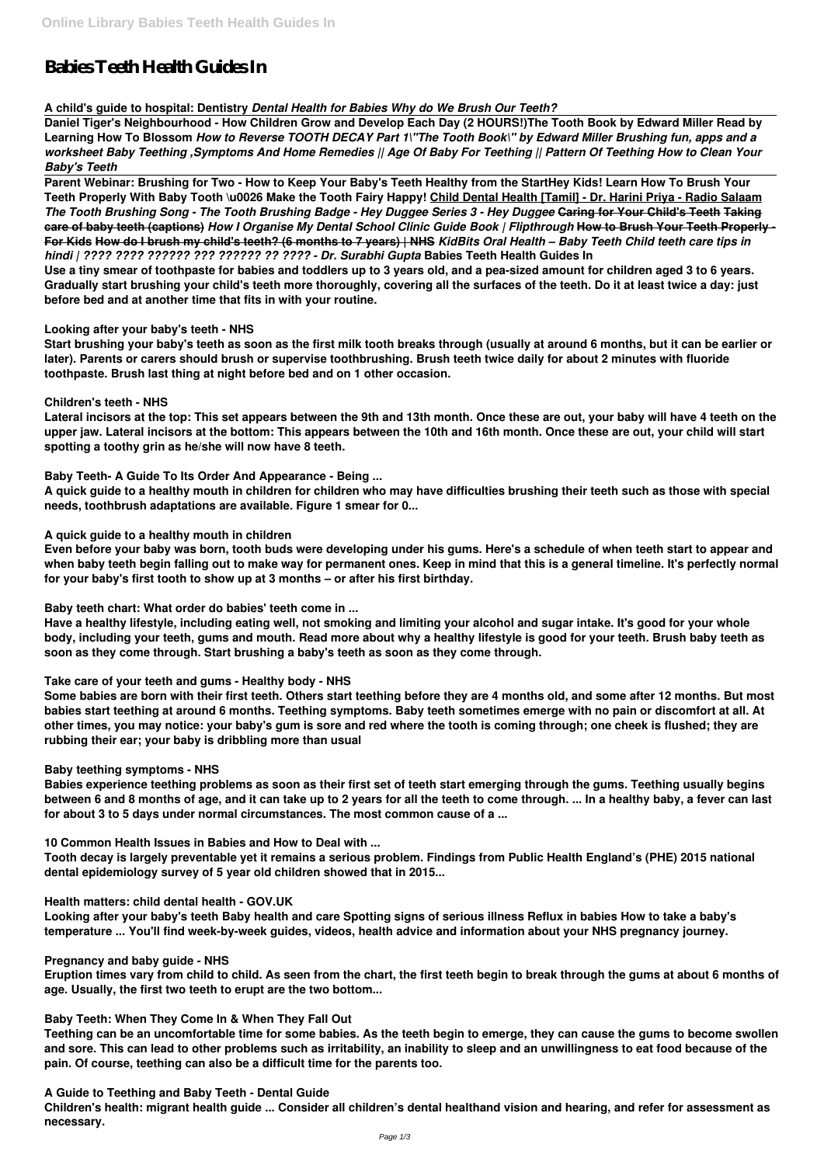# **Babies Teeth Health Guides In**

**A child's guide to hospital: Dentistry** *Dental Health for Babies Why do We Brush Our Teeth?*

**Daniel Tiger's Neighbourhood - How Children Grow and Develop Each Day (2 HOURS!)The Tooth Book by Edward Miller Read by Learning How To Blossom** *How to Reverse TOOTH DECAY Part 1\"The Tooth Book\" by Edward Miller Brushing fun, apps and a worksheet Baby Teething ,Symptoms And Home Remedies || Age Of Baby For Teething || Pattern Of Teething How to Clean Your Baby's Teeth*

**Parent Webinar: Brushing for Two - How to Keep Your Baby's Teeth Healthy from the StartHey Kids! Learn How To Brush Your Teeth Properly With Baby Tooth \u0026 Make the Tooth Fairy Happy! Child Dental Health [Tamil] - Dr. Harini Priya - Radio Salaam** *The Tooth Brushing Song - The Tooth Brushing Badge - Hey Duggee Series 3 - Hey Duggee* **Caring for Your Child's Teeth Taking care of baby teeth (captions)** *How I Organise My Dental School Clinic Guide Book | Flipthrough* **How to Brush Your Teeth Properly - For Kids How do I brush my child's teeth? (6 months to 7 years) | NHS** *KidBits Oral Health – Baby Teeth Child teeth care tips in hindi | ???? ???? ?????? ??? ?????? ?? ???? - Dr. Surabhi Gupta* **Babies Teeth Health Guides In**

**Use a tiny smear of toothpaste for babies and toddlers up to 3 years old, and a pea-sized amount for children aged 3 to 6 years. Gradually start brushing your child's teeth more thoroughly, covering all the surfaces of the teeth. Do it at least twice a day: just before bed and at another time that fits in with your routine.**

# **Looking after your baby's teeth - NHS**

**Start brushing your baby's teeth as soon as the first milk tooth breaks through (usually at around 6 months, but it can be earlier or later). Parents or carers should brush or supervise toothbrushing. Brush teeth twice daily for about 2 minutes with fluoride toothpaste. Brush last thing at night before bed and on 1 other occasion.**

# **Children's teeth - NHS**

**Lateral incisors at the top: This set appears between the 9th and 13th month. Once these are out, your baby will have 4 teeth on the upper jaw. Lateral incisors at the bottom: This appears between the 10th and 16th month. Once these are out, your child will start spotting a toothy grin as he/she will now have 8 teeth.**

# **Baby Teeth- A Guide To Its Order And Appearance - Being ...**

**A quick guide to a healthy mouth in children for children who may have difficulties brushing their teeth such as those with special needs, toothbrush adaptations are available. Figure 1 smear for 0...**

## **A quick guide to a healthy mouth in children**

**Even before your baby was born, tooth buds were developing under his gums. Here's a schedule of when teeth start to appear and when baby teeth begin falling out to make way for permanent ones. Keep in mind that this is a general timeline. It's perfectly normal for your baby's first tooth to show up at 3 months – or after his first birthday.**

**Baby teeth chart: What order do babies' teeth come in ...**

**Have a healthy lifestyle, including eating well, not smoking and limiting your alcohol and sugar intake. It's good for your whole body, including your teeth, gums and mouth. Read more about why a healthy lifestyle is good for your teeth. Brush baby teeth as soon as they come through. Start brushing a baby's teeth as soon as they come through.**

# **Take care of your teeth and gums - Healthy body - NHS**

**Some babies are born with their first teeth. Others start teething before they are 4 months old, and some after 12 months. But most babies start teething at around 6 months. Teething symptoms. Baby teeth sometimes emerge with no pain or discomfort at all. At other times, you may notice: your baby's gum is sore and red where the tooth is coming through; one cheek is flushed; they are rubbing their ear; your baby is dribbling more than usual**

# **Baby teething symptoms - NHS**

**Babies experience teething problems as soon as their first set of teeth start emerging through the gums. Teething usually begins between 6 and 8 months of age, and it can take up to 2 years for all the teeth to come through. ... In a healthy baby, a fever can last for about 3 to 5 days under normal circumstances. The most common cause of a ...**

**10 Common Health Issues in Babies and How to Deal with ...**

**Tooth decay is largely preventable yet it remains a serious problem. Findings from Public Health England's (PHE) 2015 national dental epidemiology survey of 5 year old children showed that in 2015...**

#### **Health matters: child dental health - GOV.UK**

**Looking after your baby's teeth Baby health and care Spotting signs of serious illness Reflux in babies How to take a baby's temperature ... You'll find week-by-week guides, videos, health advice and information about your NHS pregnancy journey.**

#### **Pregnancy and baby guide - NHS**

**Eruption times vary from child to child. As seen from the chart, the first teeth begin to break through the gums at about 6 months of age. Usually, the first two teeth to erupt are the two bottom...**

#### **Baby Teeth: When They Come In & When They Fall Out**

**Teething can be an uncomfortable time for some babies. As the teeth begin to emerge, they can cause the gums to become swollen and sore. This can lead to other problems such as irritability, an inability to sleep and an unwillingness to eat food because of the pain. Of course, teething can also be a difficult time for the parents too.**

**A Guide to Teething and Baby Teeth - Dental Guide**

**Children's health: migrant health guide ... Consider all children's dental healthand vision and hearing, and refer for assessment as necessary.**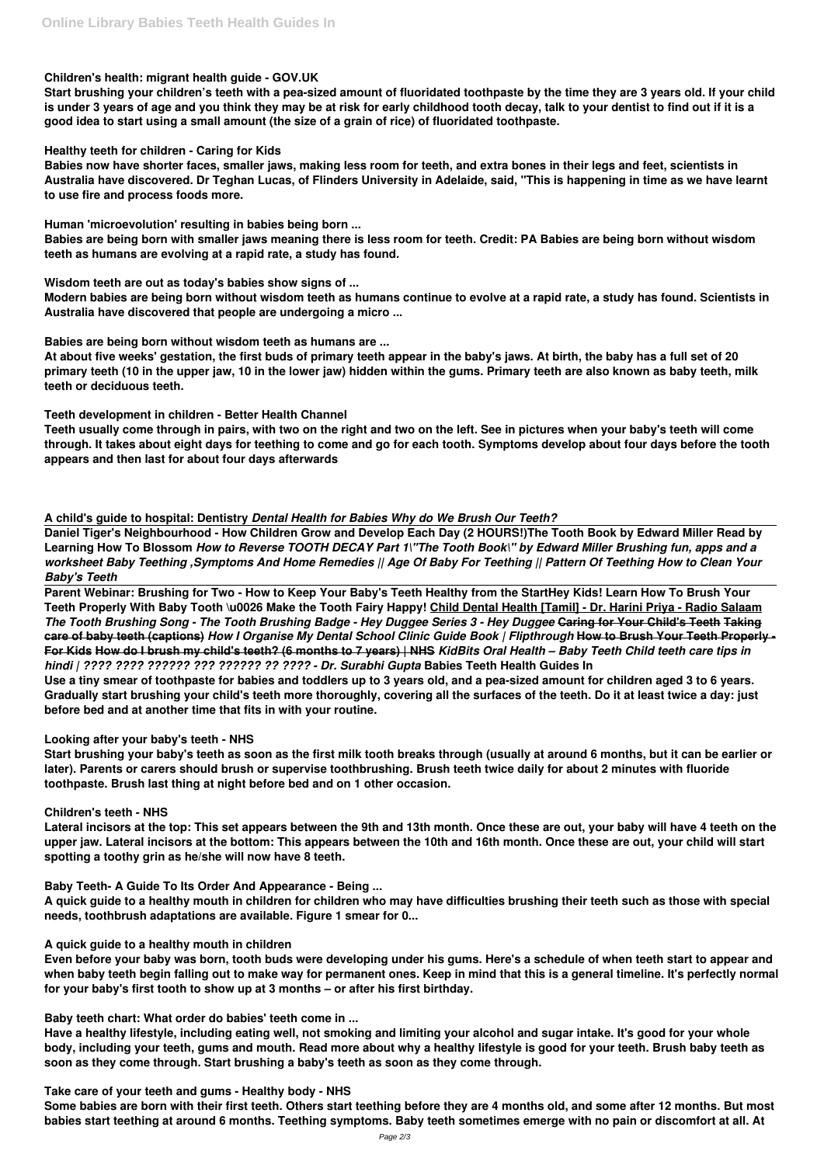# **Children's health: migrant health guide - GOV.UK**

**Start brushing your children's teeth with a pea-sized amount of fluoridated toothpaste by the time they are 3 years old. If your child is under 3 years of age and you think they may be at risk for early childhood tooth decay, talk to your dentist to find out if it is a good idea to start using a small amount (the size of a grain of rice) of fluoridated toothpaste.**

# **Healthy teeth for children - Caring for Kids**

**Babies now have shorter faces, smaller jaws, making less room for teeth, and extra bones in their legs and feet, scientists in Australia have discovered. Dr Teghan Lucas, of Flinders University in Adelaide, said, "This is happening in time as we have learnt to use fire and process foods more.**

**Human 'microevolution' resulting in babies being born ...**

**Babies are being born with smaller jaws meaning there is less room for teeth. Credit: PA Babies are being born without wisdom teeth as humans are evolving at a rapid rate, a study has found.**

**Wisdom teeth are out as today's babies show signs of ...**

**Modern babies are being born without wisdom teeth as humans continue to evolve at a rapid rate, a study has found. Scientists in Australia have discovered that people are undergoing a micro ...**

**Babies are being born without wisdom teeth as humans are ...**

**At about five weeks' gestation, the first buds of primary teeth appear in the baby's jaws. At birth, the baby has a full set of 20 primary teeth (10 in the upper jaw, 10 in the lower jaw) hidden within the gums. Primary teeth are also known as baby teeth, milk teeth or deciduous teeth.**

**Teeth development in children - Better Health Channel**

**Teeth usually come through in pairs, with two on the right and two on the left. See in pictures when your baby's teeth will come through. It takes about eight days for teething to come and go for each tooth. Symptoms develop about four days before the tooth appears and then last for about four days afterwards**

**A child's guide to hospital: Dentistry** *Dental Health for Babies Why do We Brush Our Teeth?*

**Daniel Tiger's Neighbourhood - How Children Grow and Develop Each Day (2 HOURS!)The Tooth Book by Edward Miller Read by Learning How To Blossom** *How to Reverse TOOTH DECAY Part 1\"The Tooth Book\" by Edward Miller Brushing fun, apps and a worksheet Baby Teething ,Symptoms And Home Remedies || Age Of Baby For Teething || Pattern Of Teething How to Clean Your Baby's Teeth*

**Parent Webinar: Brushing for Two - How to Keep Your Baby's Teeth Healthy from the StartHey Kids! Learn How To Brush Your Teeth Properly With Baby Tooth \u0026 Make the Tooth Fairy Happy! Child Dental Health [Tamil] - Dr. Harini Priya - Radio Salaam** *The Tooth Brushing Song - The Tooth Brushing Badge - Hey Duggee Series 3 - Hey Duggee* **Caring for Your Child's Teeth Taking care of baby teeth (captions)** *How I Organise My Dental School Clinic Guide Book | Flipthrough* **How to Brush Your Teeth Properly - For Kids How do I brush my child's teeth? (6 months to 7 years) | NHS** *KidBits Oral Health – Baby Teeth Child teeth care tips in hindi | ???? ???? ?????? ??? ?????? ?? ???? - Dr. Surabhi Gupta* **Babies Teeth Health Guides In**

**Use a tiny smear of toothpaste for babies and toddlers up to 3 years old, and a pea-sized amount for children aged 3 to 6 years. Gradually start brushing your child's teeth more thoroughly, covering all the surfaces of the teeth. Do it at least twice a day: just before bed and at another time that fits in with your routine.**

# **Looking after your baby's teeth - NHS**

**Start brushing your baby's teeth as soon as the first milk tooth breaks through (usually at around 6 months, but it can be earlier or later). Parents or carers should brush or supervise toothbrushing. Brush teeth twice daily for about 2 minutes with fluoride toothpaste. Brush last thing at night before bed and on 1 other occasion.**

# **Children's teeth - NHS**

**Lateral incisors at the top: This set appears between the 9th and 13th month. Once these are out, your baby will have 4 teeth on the upper jaw. Lateral incisors at the bottom: This appears between the 10th and 16th month. Once these are out, your child will start spotting a toothy grin as he/she will now have 8 teeth.**

**Baby Teeth- A Guide To Its Order And Appearance - Being ...**

**A quick guide to a healthy mouth in children for children who may have difficulties brushing their teeth such as those with special needs, toothbrush adaptations are available. Figure 1 smear for 0...**

**A quick guide to a healthy mouth in children**

**Even before your baby was born, tooth buds were developing under his gums. Here's a schedule of when teeth start to appear and when baby teeth begin falling out to make way for permanent ones. Keep in mind that this is a general timeline. It's perfectly normal for your baby's first tooth to show up at 3 months – or after his first birthday.**

**Baby teeth chart: What order do babies' teeth come in ...**

**Have a healthy lifestyle, including eating well, not smoking and limiting your alcohol and sugar intake. It's good for your whole body, including your teeth, gums and mouth. Read more about why a healthy lifestyle is good for your teeth. Brush baby teeth as soon as they come through. Start brushing a baby's teeth as soon as they come through.**

**Take care of your teeth and gums - Healthy body - NHS**

**Some babies are born with their first teeth. Others start teething before they are 4 months old, and some after 12 months. But most babies start teething at around 6 months. Teething symptoms. Baby teeth sometimes emerge with no pain or discomfort at all. At**